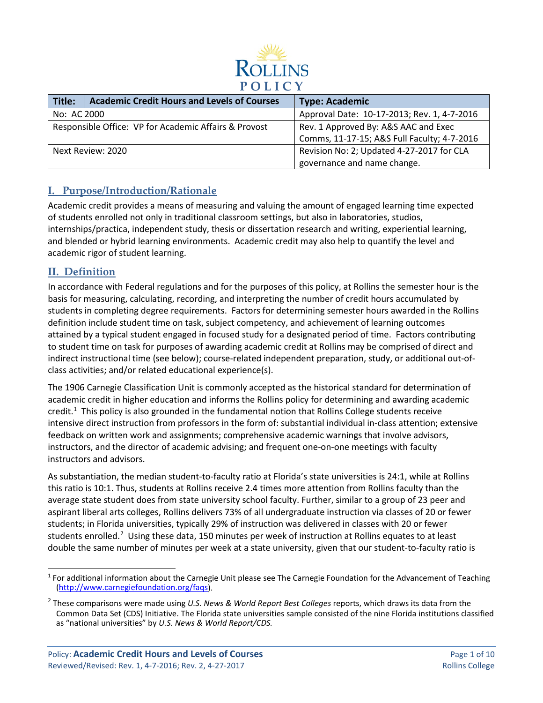

| Title:                                                | <b>Academic Credit Hours and Levels of Courses</b> | <b>Type: Academic</b>                       |
|-------------------------------------------------------|----------------------------------------------------|---------------------------------------------|
| No: AC 2000                                           |                                                    | Approval Date: 10-17-2013; Rev. 1, 4-7-2016 |
| Responsible Office: VP for Academic Affairs & Provost |                                                    | Rev. 1 Approved By: A&S AAC and Exec        |
|                                                       |                                                    | Comms, 11-17-15; A&S Full Faculty; 4-7-2016 |
| Next Review: 2020                                     |                                                    | Revision No: 2; Updated 4-27-2017 for CLA   |
|                                                       |                                                    | governance and name change.                 |

## **I. Purpose/Introduction/Rationale**

Academic credit provides a means of measuring and valuing the amount of engaged learning time expected of students enrolled not only in traditional classroom settings, but also in laboratories, studios, internships/practica, independent study, thesis or dissertation research and writing, experiential learning, and blended or hybrid learning environments. Academic credit may also help to quantify the level and academic rigor of student learning.

## **II. Definition**

In accordance with Federal regulations and for the purposes of this policy, at Rollins the semester hour is the basis for measuring, calculating, recording, and interpreting the number of credit hours accumulated by students in completing degree requirements. Factors for determining semester hours awarded in the Rollins definition include student time on task, subject competency, and achievement of learning outcomes attained by a typical student engaged in focused study for a designated period of time. Factors contributing to student time on task for purposes of awarding academic credit at Rollins may be comprised of direct and indirect instructional time (see below); course-related independent preparation, study, or additional out-ofclass activities; and/or related educational experience(s).

The 1906 Carnegie Classification Unit is commonly accepted as the historical standard for determination of academic credit in higher education and informs the Rollins policy for determining and awarding academic credit.<sup>[1](#page-0-0)</sup> This policy is also grounded in the fundamental notion that Rollins College students receive intensive direct instruction from professors in the form of: substantial individual in-class attention; extensive feedback on written work and assignments; comprehensive academic warnings that involve advisors, instructors, and the director of academic advising; and frequent one-on-one meetings with faculty instructors and advisors.

As substantiation, the median student-to-faculty ratio at Florida's state universities is 24:1, while at Rollins this ratio is 10:1. Thus, students at Rollins receive 2.4 times more attention from Rollins faculty than the average state student does from state university school faculty. Further, similar to a group of 23 peer and aspirant liberal arts colleges, Rollins delivers 73% of all undergraduate instruction via classes of 20 or fewer students; in Florida universities, typically 29% of instruction was delivered in classes with 20 or fewer students enrolled.<sup>[2](#page-0-1)</sup> Using these data, 150 minutes per week of instruction at Rollins equates to at least double the same number of minutes per week at a state university, given that our student-to-faculty ratio is

<span id="page-0-0"></span> $1$  For additional information about the Carnegie Unit please see The Carnegie Foundation for the Advancement of Teaching [\(http://www.carnegiefoundation.org/faqs\)](http://www.carnegiefoundation.org/faqs).

<span id="page-0-1"></span><sup>2</sup> These comparisons were made using *U.S. News & World Report Best Colleges* reports, which draws its data from the Common Data Set (CDS) Initiative. The Florida state universities sample consisted of the nine Florida institutions classified as "national universities" by *U.S. News & World Report/CDS.*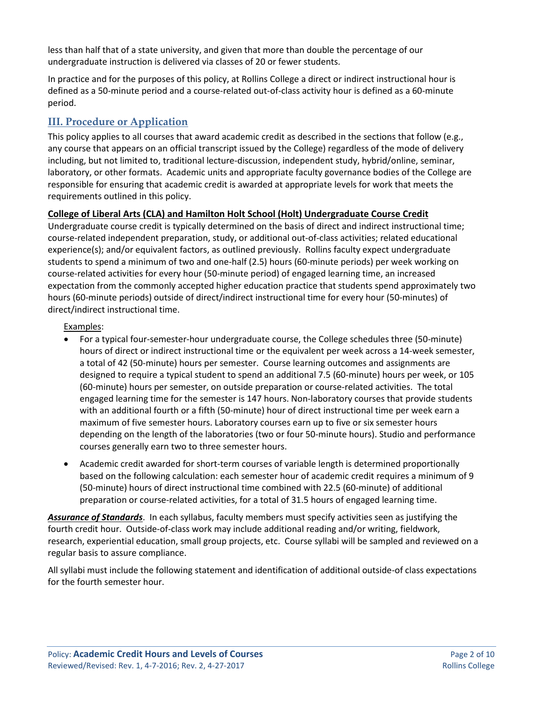less than half that of a state university, and given that more than double the percentage of our undergraduate instruction is delivered via classes of 20 or fewer students.

In practice and for the purposes of this policy, at Rollins College a direct or indirect instructional hour is defined as a 50-minute period and a course-related out-of-class activity hour is defined as a 60-minute period.

# **III. Procedure or Application**

This policy applies to all courses that award academic credit as described in the sections that follow (e.g., any course that appears on an official transcript issued by the College) regardless of the mode of delivery including, but not limited to, traditional lecture-discussion, independent study, hybrid/online, seminar, laboratory, or other formats. Academic units and appropriate faculty governance bodies of the College are responsible for ensuring that academic credit is awarded at appropriate levels for work that meets the requirements outlined in this policy.

## **College of Liberal Arts (CLA) and Hamilton Holt School (Holt) Undergraduate Course Credit**

Undergraduate course credit is typically determined on the basis of direct and indirect instructional time; course-related independent preparation, study, or additional out-of-class activities; related educational experience(s); and/or equivalent factors, as outlined previously. Rollins faculty expect undergraduate students to spend a minimum of two and one-half (2.5) hours (60-minute periods) per week working on course-related activities for every hour (50-minute period) of engaged learning time, an increased expectation from the commonly accepted higher education practice that students spend approximately two hours (60-minute periods) outside of direct/indirect instructional time for every hour (50-minutes) of direct/indirect instructional time.

## Examples:

- For a typical four-semester-hour undergraduate course, the College schedules three (50-minute) hours of direct or indirect instructional time or the equivalent per week across a 14-week semester, a total of 42 (50-minute) hours per semester. Course learning outcomes and assignments are designed to require a typical student to spend an additional 7.5 (60-minute) hours per week, or 105 (60-minute) hours per semester, on outside preparation or course-related activities. The total engaged learning time for the semester is 147 hours. Non-laboratory courses that provide students with an additional fourth or a fifth (50-minute) hour of direct instructional time per week earn a maximum of five semester hours. Laboratory courses earn up to five or six semester hours depending on the length of the laboratories (two or four 50-minute hours). Studio and performance courses generally earn two to three semester hours.
- Academic credit awarded for short-term courses of variable length is determined proportionally based on the following calculation: each semester hour of academic credit requires a minimum of 9 (50-minute) hours of direct instructional time combined with 22.5 (60-minute) of additional preparation or course-related activities, for a total of 31.5 hours of engaged learning time.

*Assurance of Standards*. In each syllabus, faculty members must specify activities seen as justifying the fourth credit hour. Outside-of-class work may include additional reading and/or writing, fieldwork, research, experiential education, small group projects, etc. Course syllabi will be sampled and reviewed on a regular basis to assure compliance.

All syllabi must include the following statement and identification of additional outside-of class expectations for the fourth semester hour.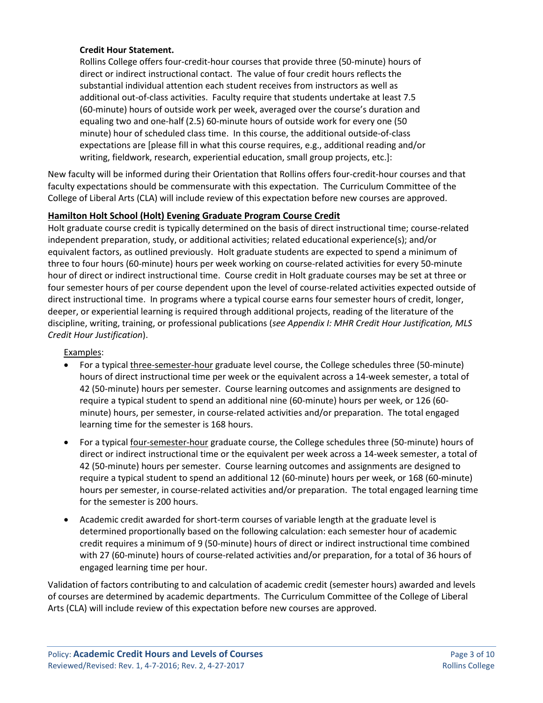## **Credit Hour Statement.**

Rollins College offers four-credit-hour courses that provide three (50-minute) hours of direct or indirect instructional contact. The value of four credit hours reflects the substantial individual attention each student receives from instructors as well as additional out-of-class activities. Faculty require that students undertake at least 7.5 (60-minute) hours of outside work per week, averaged over the course's duration and equaling two and one-half (2.5) 60-minute hours of outside work for every one (50 minute) hour of scheduled class time. In this course, the additional outside-of-class expectations are [please fill in what this course requires, e.g., additional reading and/or writing, fieldwork, research, experiential education, small group projects, etc.]:

New faculty will be informed during their Orientation that Rollins offers four-credit-hour courses and that faculty expectations should be commensurate with this expectation. The Curriculum Committee of the College of Liberal Arts (CLA) will include review of this expectation before new courses are approved.

## **Hamilton Holt School (Holt) Evening Graduate Program Course Credit**

Holt graduate course credit is typically determined on the basis of direct instructional time; course-related independent preparation, study, or additional activities; related educational experience(s); and/or equivalent factors, as outlined previously. Holt graduate students are expected to spend a minimum of three to four hours (60-minute) hours per week working on course-related activities for every 50-minute hour of direct or indirect instructional time. Course credit in Holt graduate courses may be set at three or four semester hours of per course dependent upon the level of course-related activities expected outside of direct instructional time. In programs where a typical course earns four semester hours of credit, longer, deeper, or experiential learning is required through additional projects, reading of the literature of the discipline, writing, training, or professional publications (*see Appendix I: MHR Credit Hour Justification, MLS Credit Hour Justification*).

## Examples:

- For a typical three-semester-hour graduate level course, the College schedules three (50-minute) hours of direct instructional time per week or the equivalent across a 14-week semester, a total of 42 (50-minute) hours per semester. Course learning outcomes and assignments are designed to require a typical student to spend an additional nine (60-minute) hours per week, or 126 (60 minute) hours, per semester, in course-related activities and/or preparation. The total engaged learning time for the semester is 168 hours.
- For a typical four-semester-hour graduate course, the College schedules three (50-minute) hours of direct or indirect instructional time or the equivalent per week across a 14-week semester, a total of 42 (50-minute) hours per semester. Course learning outcomes and assignments are designed to require a typical student to spend an additional 12 (60-minute) hours per week, or 168 (60-minute) hours per semester, in course-related activities and/or preparation. The total engaged learning time for the semester is 200 hours.
- Academic credit awarded for short-term courses of variable length at the graduate level is determined proportionally based on the following calculation: each semester hour of academic credit requires a minimum of 9 (50-minute) hours of direct or indirect instructional time combined with 27 (60-minute) hours of course-related activities and/or preparation, for a total of 36 hours of engaged learning time per hour.

Validation of factors contributing to and calculation of academic credit (semester hours) awarded and levels of courses are determined by academic departments. The Curriculum Committee of the College of Liberal Arts (CLA) will include review of this expectation before new courses are approved.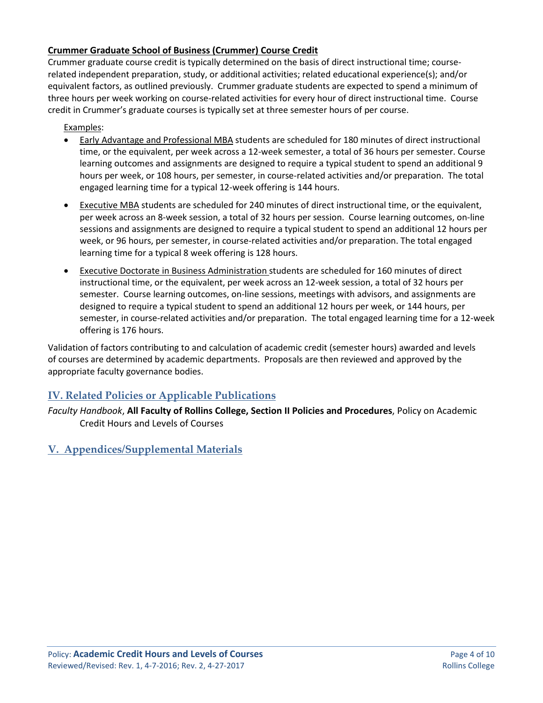## **Crummer Graduate School of Business (Crummer) Course Credit**

Crummer graduate course credit is typically determined on the basis of direct instructional time; courserelated independent preparation, study, or additional activities; related educational experience(s); and/or equivalent factors, as outlined previously. Crummer graduate students are expected to spend a minimum of three hours per week working on course-related activities for every hour of direct instructional time. Course credit in Crummer's graduate courses is typically set at three semester hours of per course.

Examples:

- Early Advantage and Professional MBA students are scheduled for 180 minutes of direct instructional time, or the equivalent, per week across a 12-week semester, a total of 36 hours per semester. Course learning outcomes and assignments are designed to require a typical student to spend an additional 9 hours per week, or 108 hours, per semester, in course-related activities and/or preparation. The total engaged learning time for a typical 12-week offering is 144 hours.
- Executive MBA students are scheduled for 240 minutes of direct instructional time, or the equivalent, per week across an 8-week session, a total of 32 hours per session. Course learning outcomes, on-line sessions and assignments are designed to require a typical student to spend an additional 12 hours per week, or 96 hours, per semester, in course-related activities and/or preparation. The total engaged learning time for a typical 8 week offering is 128 hours.
- Executive Doctorate in Business Administration students are scheduled for 160 minutes of direct instructional time, or the equivalent, per week across an 12-week session, a total of 32 hours per semester. Course learning outcomes, on-line sessions, meetings with advisors, and assignments are designed to require a typical student to spend an additional 12 hours per week, or 144 hours, per semester, in course-related activities and/or preparation. The total engaged learning time for a 12-week offering is 176 hours.

Validation of factors contributing to and calculation of academic credit (semester hours) awarded and levels of courses are determined by academic departments. Proposals are then reviewed and approved by the appropriate faculty governance bodies.

## **IV. Related Policies or Applicable Publications**

*Faculty Handbook*, **All Faculty of Rollins College, Section II Policies and Procedures**, Policy on Academic Credit Hours and Levels of Courses

**V. Appendices/Supplemental Materials**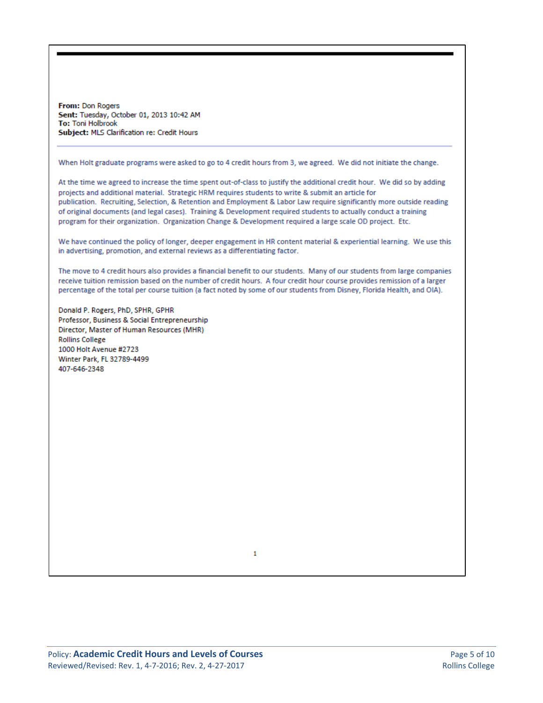From: Don Rogers Sent: Tuesday, October 01, 2013 10:42 AM To: Toni Holbrook Subject: MLS Clarification re: Credit Hours

When Holt graduate programs were asked to go to 4 credit hours from 3, we agreed. We did not initiate the change.

At the time we agreed to increase the time spent out-of-class to justify the additional credit hour. We did so by adding projects and additional material. Strategic HRM requires students to write & submit an article for publication. Recruiting, Selection, & Retention and Employment & Labor Law require significantly more outside reading of original documents (and legal cases). Training & Development required students to actually conduct a training program for their organization. Organization Change & Development required a large scale OD project. Etc.

We have continued the policy of longer, deeper engagement in HR content material & experiential learning. We use this in advertising, promotion, and external reviews as a differentiating factor.

The move to 4 credit hours also provides a financial benefit to our students. Many of our students from large companies receive tuition remission based on the number of credit hours. A four credit hour course provides remission of a larger percentage of the total per course tuition (a fact noted by some of our students from Disney, Florida Health, and OIA).

Donald P. Rogers, PhD, SPHR, GPHR Professor, Business & Social Entrepreneurship Director, Master of Human Resources (MHR) **Rollins College** 1000 Holt Avenue #2723 Winter Park, FL 32789-4499 407-646-2348

1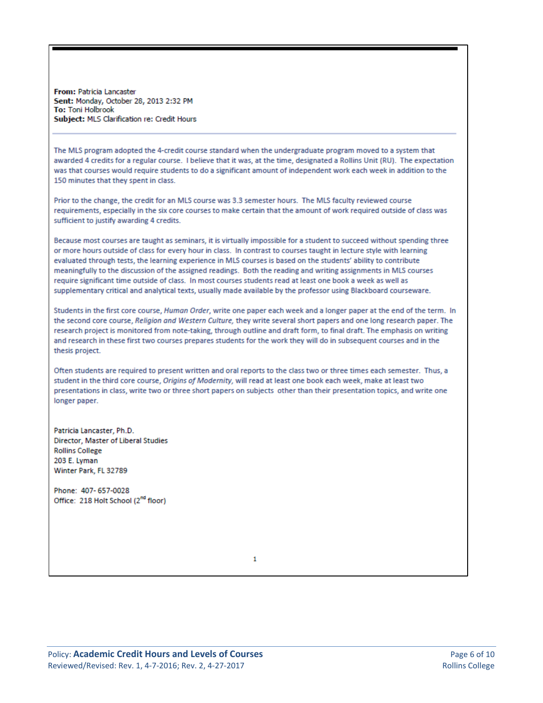From: Patricia Lancaster Sent: Monday, October 28, 2013 2:32 PM To: Toni Holbrook Subject: MLS Clarification re: Credit Hours

The MLS program adopted the 4-credit course standard when the undergraduate program moved to a system that awarded 4 credits for a regular course. I believe that it was, at the time, designated a Rollins Unit (RU). The expectation was that courses would require students to do a significant amount of independent work each week in addition to the 150 minutes that they spent in class.

Prior to the change, the credit for an MLS course was 3.3 semester hours. The MLS faculty reviewed course requirements, especially in the six core courses to make certain that the amount of work required outside of class was sufficient to justify awarding 4 credits.

Because most courses are taught as seminars, it is virtually impossible for a student to succeed without spending three or more hours outside of class for every hour in class. In contrast to courses taught in lecture style with learning evaluated through tests, the learning experience in MLS courses is based on the students' ability to contribute meaningfully to the discussion of the assigned readings. Both the reading and writing assignments in MLS courses require significant time outside of class. In most courses students read at least one book a week as well as supplementary critical and analytical texts, usually made available by the professor using Blackboard courseware.

Students in the first core course, Human Order, write one paper each week and a longer paper at the end of the term. In the second core course, Religion and Western Culture, they write several short papers and one long research paper. The research project is monitored from note-taking, through outline and draft form, to final draft. The emphasis on writing and research in these first two courses prepares students for the work they will do in subsequent courses and in the thesis project.

Often students are required to present written and oral reports to the class two or three times each semester. Thus, a student in the third core course, Origins of Modernity, will read at least one book each week, make at least two presentations in class, write two or three short papers on subjects other than their presentation topics, and write one longer paper.

Patricia Lancaster, Ph.D. Director, Master of Liberal Studies **Rollins College** 203 E. Lyman Winter Park, FL 32789

Phone: 407-657-0028 Office: 218 Holt School (2<sup>nd</sup> floor)

 $\mathbf{1}$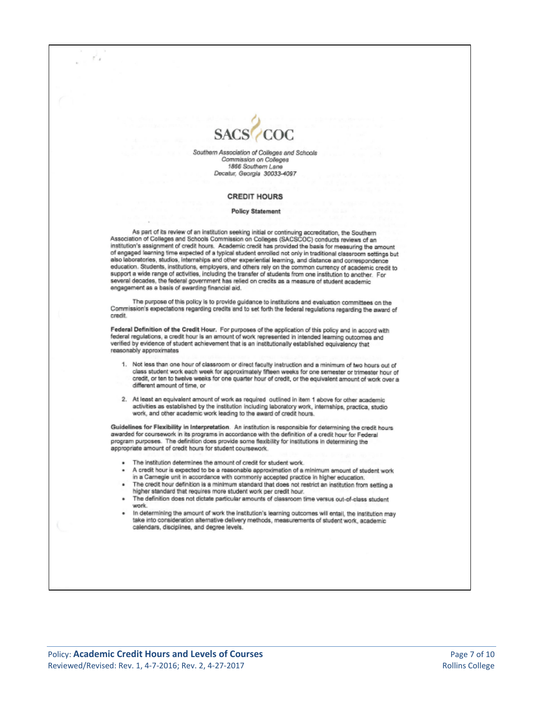

Southern Association of Colleges and Schools Commission on Colleges 1866 Southern Lane Decatur, Georgia 30033-4097

#### **CREDIT HOURS**

#### **Policy Statement**

As part of its review of an institution seeking initial or continuing accreditation, the Southern<br>Association of Colleges and Schools Commission on Colleges (SACSCOC) conducts reviews of an institution's assignment of credit hours. Academic credit has provided the basis for measuring the amount of engaged learning time expected of a typical student enrolled not only in traditional classroom settings but also laboratories, studios, internships and other experiential learning, and distance and correspondence education. Students, institutions, employers, and others rely on the common currency of academic credit to support a wide range of activities, including the transfer of students from one institution to another. For several decades, the federal government has relied on credits as a measure of student academic engagement as a basis of awarding financial aid.

The purpose of this policy is to provide guidance to institutions and evaluation committees on the Commission's expectations regarding credits and to set forth the federal regulations regarding the award of credit.

Federal Definition of the Credit Hour. For purposes of the application of this policy and in accord with federal regulations, a credit hour is an amount of work represented in intended learning outcomes and verified by evidence of student achievement that is an institutionally established equivalency that reasonably approximates

- 1. Not less than one hour of classroom or direct faculty instruction and a minimum of two hours out of class student work each week for approximately fifteen weeks for one semester or trimester hour of credit, or ten to twelve weeks for one quarter hour of credit, or the equivalent amount of work over a different amount of time, or
- 2. At least an equivalent amount of work as required outlined in item 1 above for other academic activities as established by the institution including laboratory work, internships, practica, studio work, and other academic work leading to the award of credit hours.

Guidelines for Flexibility in Interpretation. An institution is responsible for determining the credit hours awarded for coursework in its programs in accordance with the definition of a credit hour for Federal program purposes. The definition does provide some flexibility for institutions in determining the appropriate amount of credit hours for student coursework.

- · The institution determines the amount of credit for student work.
- A credit hour is expected to be a reasonable approximation of a minimum amount of student work in a Carnegie unit in accordance with commonly accepted practice in higher education.
- The credit hour definition is a minimum standard that does not restrict an institution from setting a higher standard that requires more student work per credit hour.
- The definition does not dictate particular amounts of classroom time versus out-of-class student work.
- In determining the amount of work the institution's learning outcomes will entail, the institution may take into consideration alternative delivery methods, measurements of student work, academic calendars, disciplines, and degree levels.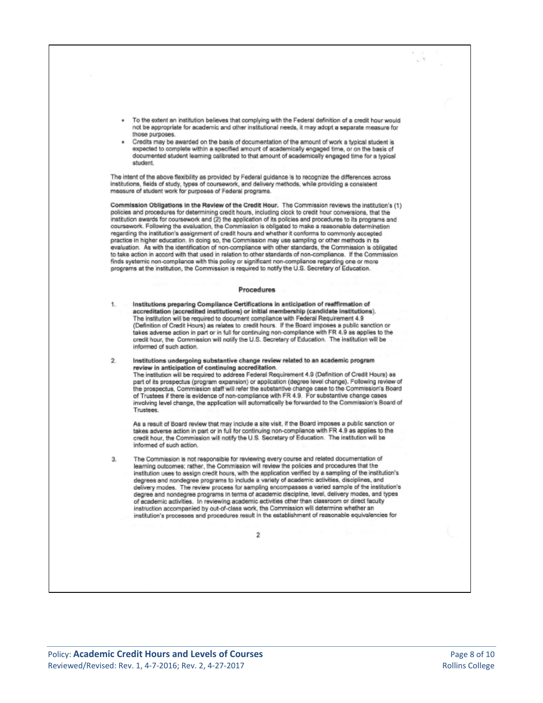- To the extent an institution believes that complying with the Federal definition of a credit hour would not be appropriate for academic and other institutional needs, it may adopt a separate measure for those purposes.
- Credits may be awarded on the basis of documentation of the amount of work a typical student is expected to complete within a specified amount of academically engaged time, or on the basis of documented student learning calibrated to that amount of academically engaged time for a typical student.

The intent of the above flexibility as provided by Federal guidance is to recognize the differences across institutions, fields of study, types of coursework, and delivery methods, while providing a consistent measure of student work for purposes of Federal programs.

Commission Obligations in the Review of the Credit Hour. The Commission reviews the institution's (1) policies and procedures for determining credit hours, including clock to credit hour conversions, that the institution awards for coursework and (2) the application of its policies and procedures to its programs and coursework. Following the evaluation, the Commission is obligated to make a reasonable determination regarding the institution's assignment of credit hours and whether it conforms to commonly accepted practice in higher education. In doing so, the Commission may use sampling or other methods in its evaluation. As with the identification of non-compliance with other standards, the Commission is obligated to take action in accord with that used in relation to other standards of non-compliance. If the Commission finds systemic non-compliance with this policy or significant non-compliance regarding one or more programs at the institution, the Commission is required to notify the U.S. Secretary of Education.

#### Procedures

- Institutions preparing Compliance Certifications in anticipation of reaffirmation of 1. accreditation (accredited institutions) or initial membership (candidate institutions). The institution will be required to document compliance with Federal Requirement 4.9 (Definition of Credit Hours) as relates to credit hours. If the Board imposes a public sanction or takes adverse action in part or in full for continuing non-compliance with FR 4.9 as applies to the credit hour, the Commission will notify the U.S. Secretary of Education. The institution will be informed of such action.
	- Institutions undergoing substantive change review related to an academic program review in anticipation of continuing accreditation. The institution will be required to address Federal Requirement 4.9 (Definition of Credit Hours) as part of its prospectus (program expansion) or application (degree level change). Following review of the prospectus, Commission staff will refer the substantive change case to the Commission's Board of Trustees if there is evidence of non-compliance with FR 4.9. For substantive change cases involving level change, the application will automatically be forwarded to the Commission's Board of

As a result of Board review that may include a site visit, if the Board imposes a public sanction or takes adverse action in part or in full for continuing non-compliance with FR 4.9 as applies to the credit hour, the Commission will notify the U.S. Secretary of Education. The institution will be informed of such action.

The Commission is not responsible for reviewing every course and related documentation of 3. learning outcomes; rather, the Commission will review the policies and procedures that the institution uses to assign credit hours, with the application verified by a sampling of the institution's degrees and nondegree programs to include a variety of academic activities, disciplines, and delivery modes. The review process for sampling encompasses a varied sample of the institution's degree and nondegree programs in terms of academic discipline, level, delivery modes, and types of academic activities. In reviewing academic activities other than classroom or direct faculty instruction accompanied by out-of-class work, the Commission will determine whether an institution's processes and procedures result in the establishment of reasonable equivalencies for

 $\overline{2}$ 

 $\mathfrak{D}$ 

Trustees.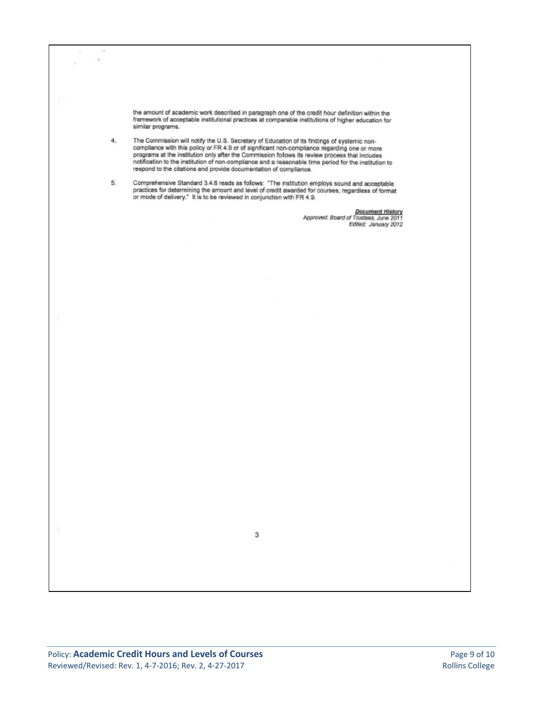$\boldsymbol{\tau}$ the amount of academic work described in paragraph one of the credit hour definition within the framework of acceptable institutional practices at comparable institutions of higher education for similar programs. The Commission will notify the U.S. Secretary of Education of its findings of systemic non-4. The Commission will holty the U.S. Secretary of Education of its findings of systemic non-<br>compliance with this policy or FR 4.9 or of significant non-compliance regarding one or more<br>programs at the institution only after respond to the citations and provide documentation of compliance. Comprehensive Standard 3.4.6 reads as follows: "The institution employs sound and acceptable<br>practices for determining the amount and level of credit awarded for courses, regardless of format<br>or mode of delivery." It is to 5. Document History<br>Approved: Board of Trustees, June 2011<br>Edited: January 2012 з